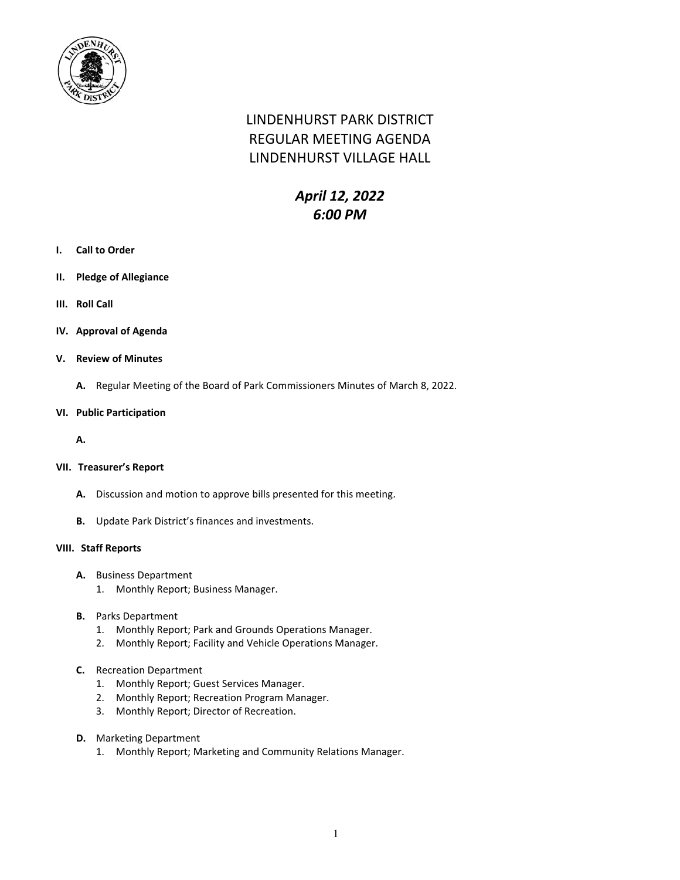

# LINDENHURST PARK DISTRICT REGULAR MEETING AGENDA LINDENHURST VILLAGE HALL

## *April 12, 2022 6:00 PM*

- **I. Call to Order**
- **II. Pledge of Allegiance**
- **III. Roll Call**
- **IV. Approval of Agenda**
- **V. Review of Minutes**
	- **A.** Regular Meeting of the Board of Park Commissioners Minutes of March 8, 2022.

#### **VI. Public Participation**

**A.**

## **VII. Treasurer's Report**

- **A.** Discussion and motion to approve bills presented for this meeting.
- **B.** Update Park District's finances and investments.

#### **VIII. Staff Reports**

- **A.** Business Department
	- 1. Monthly Report; Business Manager.
- **B.** Parks Department
	- 1. Monthly Report; Park and Grounds Operations Manager.
	- 2. Monthly Report; Facility and Vehicle Operations Manager.
- **C.** Recreation Department
	- 1. Monthly Report; Guest Services Manager.
	- 2. Monthly Report; Recreation Program Manager.
	- 3. Monthly Report; Director of Recreation.
- **D.** Marketing Department
	- 1. Monthly Report; Marketing and Community Relations Manager.